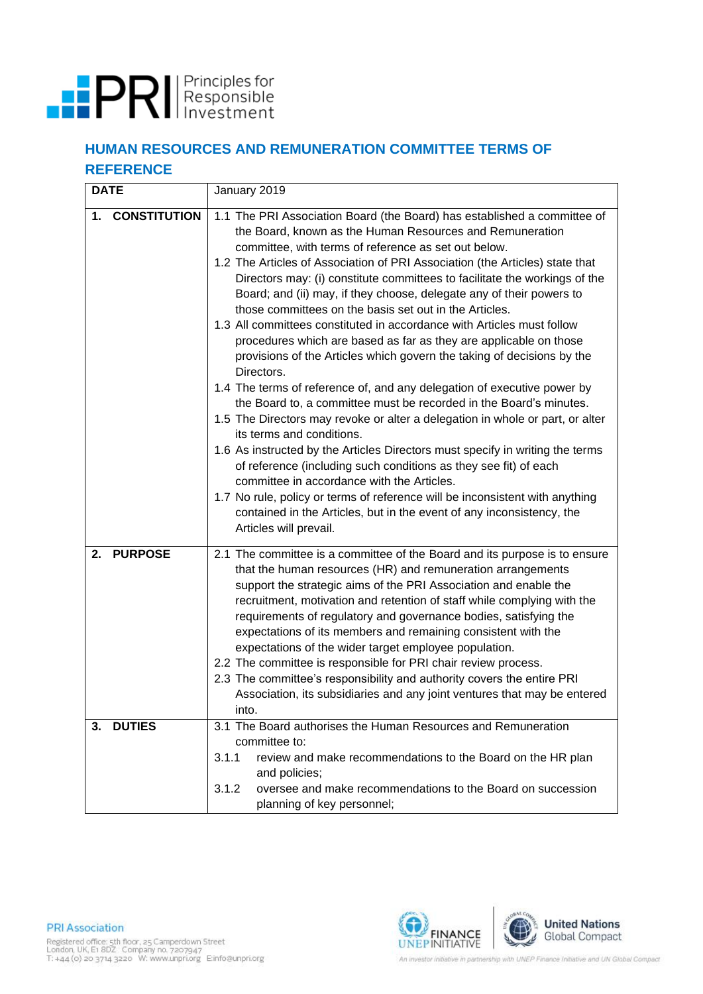

## **HUMAN RESOURCES AND REMUNERATION COMMITTEE TERMS OF REFERENCE**

| <b>DATE</b>                                 | January 2019                                                                                                                                                                                                                                                                                                                                                                                                                                                                                                                                                                                                                                                                                                                                                                                                                                                                                                                                                                                                                                                                                                                                                                                                                                                                                                                                                                             |  |  |  |
|---------------------------------------------|------------------------------------------------------------------------------------------------------------------------------------------------------------------------------------------------------------------------------------------------------------------------------------------------------------------------------------------------------------------------------------------------------------------------------------------------------------------------------------------------------------------------------------------------------------------------------------------------------------------------------------------------------------------------------------------------------------------------------------------------------------------------------------------------------------------------------------------------------------------------------------------------------------------------------------------------------------------------------------------------------------------------------------------------------------------------------------------------------------------------------------------------------------------------------------------------------------------------------------------------------------------------------------------------------------------------------------------------------------------------------------------|--|--|--|
| <b>CONSTITUTION</b><br>1.                   | 1.1 The PRI Association Board (the Board) has established a committee of<br>the Board, known as the Human Resources and Remuneration<br>committee, with terms of reference as set out below.<br>1.2 The Articles of Association of PRI Association (the Articles) state that<br>Directors may: (i) constitute committees to facilitate the workings of the<br>Board; and (ii) may, if they choose, delegate any of their powers to<br>those committees on the basis set out in the Articles.<br>1.3 All committees constituted in accordance with Articles must follow<br>procedures which are based as far as they are applicable on those<br>provisions of the Articles which govern the taking of decisions by the<br>Directors.<br>1.4 The terms of reference of, and any delegation of executive power by<br>the Board to, a committee must be recorded in the Board's minutes.<br>1.5 The Directors may revoke or alter a delegation in whole or part, or alter<br>its terms and conditions.<br>1.6 As instructed by the Articles Directors must specify in writing the terms<br>of reference (including such conditions as they see fit) of each<br>committee in accordance with the Articles.<br>1.7 No rule, policy or terms of reference will be inconsistent with anything<br>contained in the Articles, but in the event of any inconsistency, the<br>Articles will prevail. |  |  |  |
| <b>PURPOSE</b><br>2.<br><b>DUTIES</b><br>3. | 2.1 The committee is a committee of the Board and its purpose is to ensure<br>that the human resources (HR) and remuneration arrangements<br>support the strategic aims of the PRI Association and enable the<br>recruitment, motivation and retention of staff while complying with the<br>requirements of regulatory and governance bodies, satisfying the<br>expectations of its members and remaining consistent with the<br>expectations of the wider target employee population.<br>2.2 The committee is responsible for PRI chair review process.<br>2.3 The committee's responsibility and authority covers the entire PRI<br>Association, its subsidiaries and any joint ventures that may be entered<br>into.<br>3.1 The Board authorises the Human Resources and Remuneration                                                                                                                                                                                                                                                                                                                                                                                                                                                                                                                                                                                                 |  |  |  |
|                                             | committee to:<br>3.1.1<br>review and make recommendations to the Board on the HR plan<br>and policies;                                                                                                                                                                                                                                                                                                                                                                                                                                                                                                                                                                                                                                                                                                                                                                                                                                                                                                                                                                                                                                                                                                                                                                                                                                                                                   |  |  |  |
|                                             | oversee and make recommendations to the Board on succession<br>3.1.2<br>planning of key personnel;                                                                                                                                                                                                                                                                                                                                                                                                                                                                                                                                                                                                                                                                                                                                                                                                                                                                                                                                                                                                                                                                                                                                                                                                                                                                                       |  |  |  |



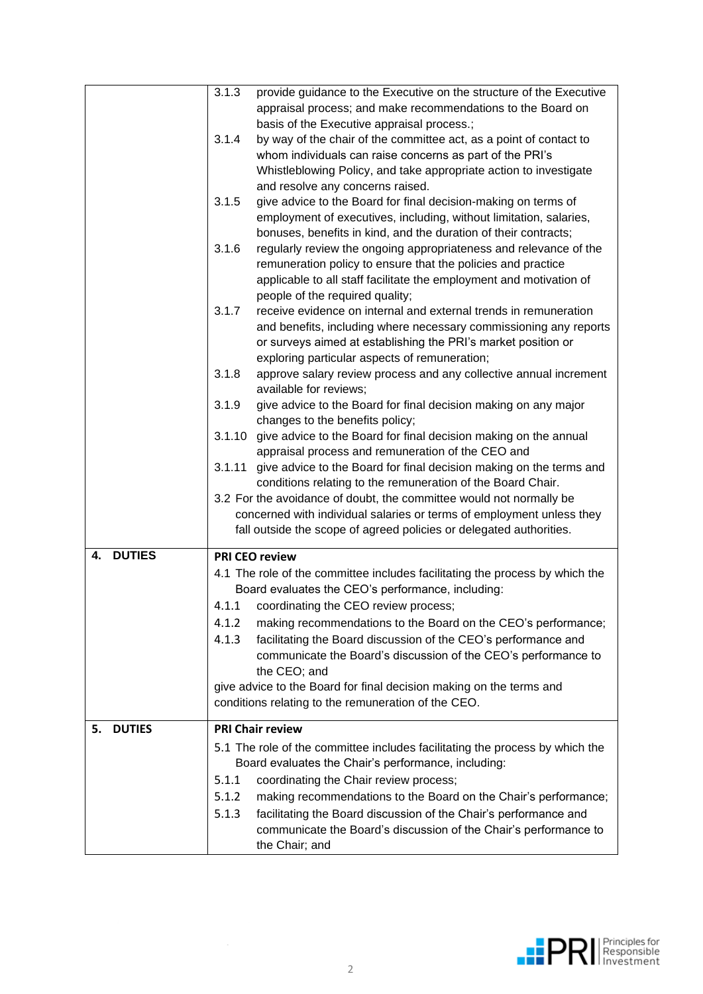|                     | 3.1.3<br>provide guidance to the Executive on the structure of the Executive                                                       |  |  |  |  |
|---------------------|------------------------------------------------------------------------------------------------------------------------------------|--|--|--|--|
|                     | appraisal process; and make recommendations to the Board on                                                                        |  |  |  |  |
|                     | basis of the Executive appraisal process.;                                                                                         |  |  |  |  |
|                     | 3.1.4<br>by way of the chair of the committee act, as a point of contact to                                                        |  |  |  |  |
|                     | whom individuals can raise concerns as part of the PRI's                                                                           |  |  |  |  |
|                     | Whistleblowing Policy, and take appropriate action to investigate                                                                  |  |  |  |  |
|                     | and resolve any concerns raised.                                                                                                   |  |  |  |  |
|                     | 3.1.5<br>give advice to the Board for final decision-making on terms of                                                            |  |  |  |  |
|                     | employment of executives, including, without limitation, salaries,                                                                 |  |  |  |  |
|                     | bonuses, benefits in kind, and the duration of their contracts;                                                                    |  |  |  |  |
|                     | 3.1.6                                                                                                                              |  |  |  |  |
|                     | regularly review the ongoing appropriateness and relevance of the                                                                  |  |  |  |  |
|                     | remuneration policy to ensure that the policies and practice                                                                       |  |  |  |  |
|                     | applicable to all staff facilitate the employment and motivation of                                                                |  |  |  |  |
|                     | people of the required quality;                                                                                                    |  |  |  |  |
|                     | 3.1.7<br>receive evidence on internal and external trends in remuneration                                                          |  |  |  |  |
|                     | and benefits, including where necessary commissioning any reports<br>or surveys aimed at establishing the PRI's market position or |  |  |  |  |
|                     | exploring particular aspects of remuneration;                                                                                      |  |  |  |  |
|                     | approve salary review process and any collective annual increment<br>3.1.8                                                         |  |  |  |  |
|                     | available for reviews;                                                                                                             |  |  |  |  |
|                     | 3.1.9<br>give advice to the Board for final decision making on any major                                                           |  |  |  |  |
|                     | changes to the benefits policy;                                                                                                    |  |  |  |  |
|                     | 3.1.10<br>give advice to the Board for final decision making on the annual                                                         |  |  |  |  |
|                     | appraisal process and remuneration of the CEO and                                                                                  |  |  |  |  |
|                     | give advice to the Board for final decision making on the terms and<br>3.1.11                                                      |  |  |  |  |
|                     | conditions relating to the remuneration of the Board Chair.                                                                        |  |  |  |  |
|                     | 3.2 For the avoidance of doubt, the committee would not normally be                                                                |  |  |  |  |
|                     | concerned with individual salaries or terms of employment unless they                                                              |  |  |  |  |
|                     | fall outside the scope of agreed policies or delegated authorities.                                                                |  |  |  |  |
|                     |                                                                                                                                    |  |  |  |  |
| <b>DUTIES</b><br>4. | <b>PRI CEO review</b>                                                                                                              |  |  |  |  |
|                     | 4.1 The role of the committee includes facilitating the process by which the                                                       |  |  |  |  |
|                     | Board evaluates the CEO's performance, including:                                                                                  |  |  |  |  |
|                     | coordinating the CEO review process;<br>4.1.1                                                                                      |  |  |  |  |
|                     | 4.1.2<br>making recommendations to the Board on the CEO's performance;                                                             |  |  |  |  |
|                     | facilitating the Board discussion of the CEO's performance and<br>4.1.3                                                            |  |  |  |  |
|                     | communicate the Board's discussion of the CEO's performance to                                                                     |  |  |  |  |
|                     | the CEO; and                                                                                                                       |  |  |  |  |
|                     | give advice to the Board for final decision making on the terms and                                                                |  |  |  |  |
|                     | conditions relating to the remuneration of the CEO.                                                                                |  |  |  |  |
|                     |                                                                                                                                    |  |  |  |  |
| <b>DUTIES</b><br>5. | <b>PRI Chair review</b>                                                                                                            |  |  |  |  |
|                     | 5.1 The role of the committee includes facilitating the process by which the                                                       |  |  |  |  |
|                     | Board evaluates the Chair's performance, including:                                                                                |  |  |  |  |
|                     | coordinating the Chair review process;<br>5.1.1                                                                                    |  |  |  |  |
|                     | 5.1.2<br>making recommendations to the Board on the Chair's performance;                                                           |  |  |  |  |
|                     | 5.1.3<br>facilitating the Board discussion of the Chair's performance and                                                          |  |  |  |  |
|                     | communicate the Board's discussion of the Chair's performance to                                                                   |  |  |  |  |
|                     | the Chair; and                                                                                                                     |  |  |  |  |

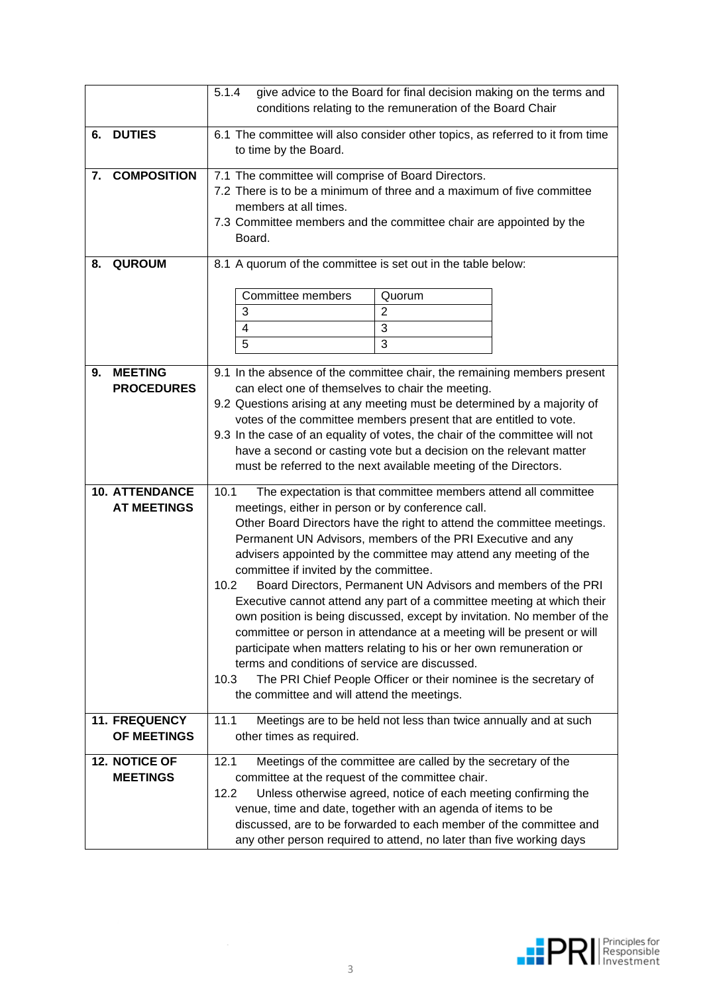|    |                                             | 5.1.4<br>give advice to the Board for final decision making on the terms and<br>conditions relating to the remuneration of the Board Chair                                                                                                                                                                                                                                                                                                                                                                                                                                                                                                                                                                                                                                                                                                                                                                                                       |  |  |  |  |  |
|----|---------------------------------------------|--------------------------------------------------------------------------------------------------------------------------------------------------------------------------------------------------------------------------------------------------------------------------------------------------------------------------------------------------------------------------------------------------------------------------------------------------------------------------------------------------------------------------------------------------------------------------------------------------------------------------------------------------------------------------------------------------------------------------------------------------------------------------------------------------------------------------------------------------------------------------------------------------------------------------------------------------|--|--|--|--|--|
| 6. | <b>DUTIES</b>                               | 6.1 The committee will also consider other topics, as referred to it from time<br>to time by the Board.                                                                                                                                                                                                                                                                                                                                                                                                                                                                                                                                                                                                                                                                                                                                                                                                                                          |  |  |  |  |  |
| 7. | <b>COMPOSITION</b>                          | 7.1 The committee will comprise of Board Directors.<br>7.2 There is to be a minimum of three and a maximum of five committee<br>members at all times.<br>7.3 Committee members and the committee chair are appointed by the<br>Board.                                                                                                                                                                                                                                                                                                                                                                                                                                                                                                                                                                                                                                                                                                            |  |  |  |  |  |
| 8. | <b>QUROUM</b>                               | 8.1 A quorum of the committee is set out in the table below:<br><b>Committee members</b><br>Quorum<br>3<br>$\overline{2}$<br>3<br>$\overline{\mathbf{4}}$<br>5<br>3                                                                                                                                                                                                                                                                                                                                                                                                                                                                                                                                                                                                                                                                                                                                                                              |  |  |  |  |  |
| 9. | <b>MEETING</b><br><b>PROCEDURES</b>         | 9.1 In the absence of the committee chair, the remaining members present<br>can elect one of themselves to chair the meeting.<br>9.2 Questions arising at any meeting must be determined by a majority of<br>votes of the committee members present that are entitled to vote.<br>9.3 In the case of an equality of votes, the chair of the committee will not<br>have a second or casting vote but a decision on the relevant matter<br>must be referred to the next available meeting of the Directors.                                                                                                                                                                                                                                                                                                                                                                                                                                        |  |  |  |  |  |
|    | <b>10. ATTENDANCE</b><br><b>AT MEETINGS</b> | 10.1<br>The expectation is that committee members attend all committee<br>meetings, either in person or by conference call.<br>Other Board Directors have the right to attend the committee meetings.<br>Permanent UN Advisors, members of the PRI Executive and any<br>advisers appointed by the committee may attend any meeting of the<br>committee if invited by the committee.<br>Board Directors, Permanent UN Advisors and members of the PRI<br>10.2<br>Executive cannot attend any part of a committee meeting at which their<br>own position is being discussed, except by invitation. No member of the<br>committee or person in attendance at a meeting will be present or will<br>participate when matters relating to his or her own remuneration or<br>terms and conditions of service are discussed.<br>The PRI Chief People Officer or their nominee is the secretary of<br>10.3<br>the committee and will attend the meetings. |  |  |  |  |  |
|    | <b>11. FREQUENCY</b><br>OF MEETINGS         | 11.1<br>Meetings are to be held not less than twice annually and at such<br>other times as required.                                                                                                                                                                                                                                                                                                                                                                                                                                                                                                                                                                                                                                                                                                                                                                                                                                             |  |  |  |  |  |
|    | 12. NOTICE OF<br><b>MEETINGS</b>            | 12.1<br>Meetings of the committee are called by the secretary of the<br>committee at the request of the committee chair.<br>12.2<br>Unless otherwise agreed, notice of each meeting confirming the<br>venue, time and date, together with an agenda of items to be<br>discussed, are to be forwarded to each member of the committee and<br>any other person required to attend, no later than five working days                                                                                                                                                                                                                                                                                                                                                                                                                                                                                                                                 |  |  |  |  |  |

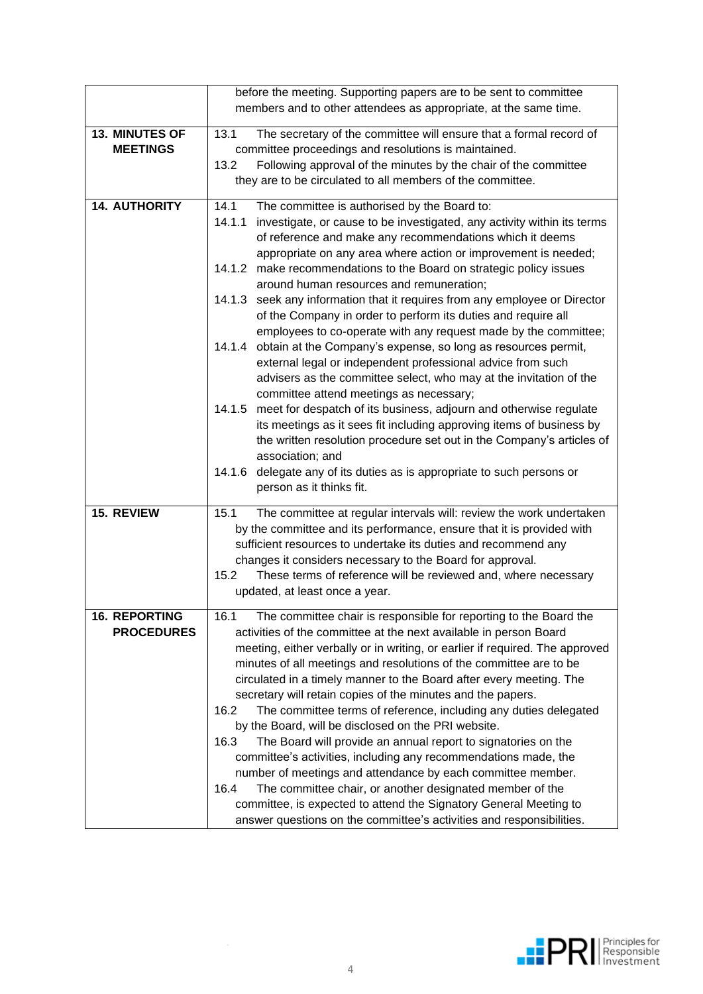| before the meeting. Supporting papers are to be sent to committee |                                                                                                                                                                                                                                                                                                                                                                                                                                                                                                                                                                                                                                                                                                                                                                                                                                                                                                                                                                                                                                                                                                                                                                                                                                   |  |  |  |  |  |
|-------------------------------------------------------------------|-----------------------------------------------------------------------------------------------------------------------------------------------------------------------------------------------------------------------------------------------------------------------------------------------------------------------------------------------------------------------------------------------------------------------------------------------------------------------------------------------------------------------------------------------------------------------------------------------------------------------------------------------------------------------------------------------------------------------------------------------------------------------------------------------------------------------------------------------------------------------------------------------------------------------------------------------------------------------------------------------------------------------------------------------------------------------------------------------------------------------------------------------------------------------------------------------------------------------------------|--|--|--|--|--|
|                                                                   | members and to other attendees as appropriate, at the same time.                                                                                                                                                                                                                                                                                                                                                                                                                                                                                                                                                                                                                                                                                                                                                                                                                                                                                                                                                                                                                                                                                                                                                                  |  |  |  |  |  |
| <b>13. MINUTES OF</b><br><b>MEETINGS</b>                          | 13.1<br>The secretary of the committee will ensure that a formal record of<br>committee proceedings and resolutions is maintained.<br>13.2<br>Following approval of the minutes by the chair of the committee<br>they are to be circulated to all members of the committee.                                                                                                                                                                                                                                                                                                                                                                                                                                                                                                                                                                                                                                                                                                                                                                                                                                                                                                                                                       |  |  |  |  |  |
| <b>14. AUTHORITY</b>                                              | 14.1<br>The committee is authorised by the Board to:<br>investigate, or cause to be investigated, any activity within its terms<br>14.1.1<br>of reference and make any recommendations which it deems<br>appropriate on any area where action or improvement is needed;<br>14.1.2 make recommendations to the Board on strategic policy issues<br>around human resources and remuneration;<br>14.1.3 seek any information that it requires from any employee or Director<br>of the Company in order to perform its duties and require all<br>employees to co-operate with any request made by the committee;<br>obtain at the Company's expense, so long as resources permit,<br>14.1.4<br>external legal or independent professional advice from such<br>advisers as the committee select, who may at the invitation of the<br>committee attend meetings as necessary;<br>14.1.5 meet for despatch of its business, adjourn and otherwise regulate<br>its meetings as it sees fit including approving items of business by<br>the written resolution procedure set out in the Company's articles of<br>association; and<br>14.1.6<br>delegate any of its duties as is appropriate to such persons or<br>person as it thinks fit. |  |  |  |  |  |
| 15. REVIEW                                                        | 15.1<br>The committee at regular intervals will: review the work undertaken<br>by the committee and its performance, ensure that it is provided with<br>sufficient resources to undertake its duties and recommend any<br>changes it considers necessary to the Board for approval.<br>15.2<br>These terms of reference will be reviewed and, where necessary<br>updated, at least once a year.                                                                                                                                                                                                                                                                                                                                                                                                                                                                                                                                                                                                                                                                                                                                                                                                                                   |  |  |  |  |  |
| <b>16. REPORTING</b><br><b>PROCEDURES</b>                         | 16.1<br>The committee chair is responsible for reporting to the Board the<br>activities of the committee at the next available in person Board<br>meeting, either verbally or in writing, or earlier if required. The approved<br>minutes of all meetings and resolutions of the committee are to be<br>circulated in a timely manner to the Board after every meeting. The<br>secretary will retain copies of the minutes and the papers.<br>The committee terms of reference, including any duties delegated<br>16.2<br>by the Board, will be disclosed on the PRI website.<br>16.3<br>The Board will provide an annual report to signatories on the<br>committee's activities, including any recommendations made, the<br>number of meetings and attendance by each committee member.<br>16.4<br>The committee chair, or another designated member of the<br>committee, is expected to attend the Signatory General Meeting to<br>answer questions on the committee's activities and responsibilities.                                                                                                                                                                                                                         |  |  |  |  |  |